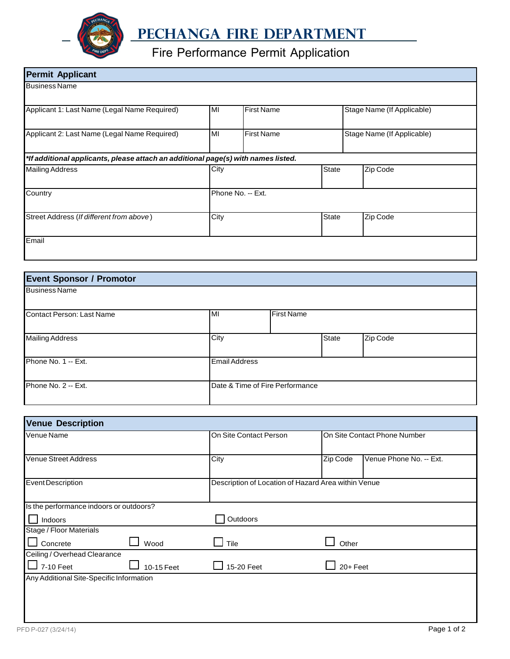

## **PEChanga Fire Department**

## Fire Performance Permit Application

| <b>Permit Applicant</b>                                                           |      |                   |  |                            |          |
|-----------------------------------------------------------------------------------|------|-------------------|--|----------------------------|----------|
| <b>Business Name</b>                                                              |      |                   |  |                            |          |
| Applicant 1: Last Name (Legal Name Required)                                      | MI   | <b>First Name</b> |  | Stage Name (If Applicable) |          |
| Applicant 2: Last Name (Legal Name Required)                                      | MI   | <b>First Name</b> |  | Stage Name (If Applicable) |          |
| *If additional applicants, please attach an additional page(s) with names listed. |      |                   |  |                            |          |
| <b>Mailing Address</b>                                                            | City | <b>State</b>      |  |                            | Zip Code |
| Country                                                                           |      | Phone No. -- Ext. |  |                            |          |
| Street Address (If different from above)                                          | City | <b>State</b>      |  |                            | Zip Code |
| Email                                                                             |      |                   |  |                            |          |

| <b>Event Sponsor / Promotor</b> |                      |                                 |              |          |
|---------------------------------|----------------------|---------------------------------|--------------|----------|
| <b>Business Name</b>            |                      |                                 |              |          |
| Contact Person: Last Name       | MI                   | <b>First Name</b>               |              |          |
| <b>Mailing Address</b>          | City                 |                                 | <b>State</b> | Zip Code |
| Phone No. 1 -- Ext.             | <b>Email Address</b> |                                 |              |          |
| Phone No. 2 -- Ext.             |                      | Date & Time of Fire Performance |              |          |

| <b>Venue Description</b>                 |                        |                                                     |                         |  |  |
|------------------------------------------|------------------------|-----------------------------------------------------|-------------------------|--|--|
| Venue Name                               | On Site Contact Person | On Site Contact Phone Number                        |                         |  |  |
|                                          |                        |                                                     |                         |  |  |
| <b>Venue Street Address</b>              | City                   | Zip Code                                            | Venue Phone No. -- Ext. |  |  |
| <b>Event Description</b>                 |                        | Description of Location of Hazard Area within Venue |                         |  |  |
| Is the performance indoors or outdoors?  |                        |                                                     |                         |  |  |
| Indoors                                  | Outdoors               |                                                     |                         |  |  |
| Stage / Floor Materials                  |                        |                                                     |                         |  |  |
| Wood<br>Concrete                         | Tile                   | Other                                               |                         |  |  |
| Ceiling / Overhead Clearance             |                        |                                                     |                         |  |  |
| 7-10 Feet<br>10-15 Feet                  | 15-20 Feet             | $20 +$ Feet                                         |                         |  |  |
| Any Additional Site-Specific Information |                        |                                                     |                         |  |  |
|                                          |                        |                                                     |                         |  |  |
|                                          |                        |                                                     |                         |  |  |
|                                          |                        |                                                     |                         |  |  |